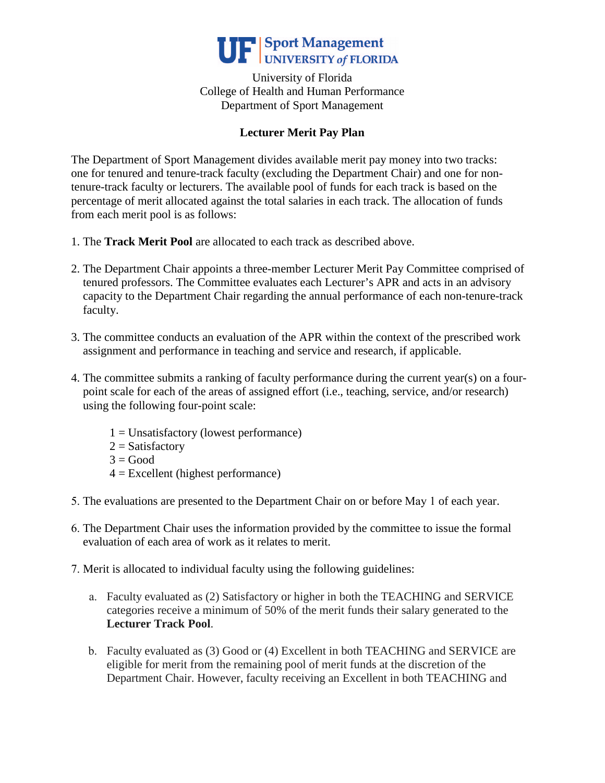

University of Florida College of Health and Human Performance Department of Sport Management

## **Lecturer Merit Pay Plan**

The Department of Sport Management divides available merit pay money into two tracks: one for tenured and tenure-track faculty (excluding the Department Chair) and one for nontenure-track faculty or lecturers. The available pool of funds for each track is based on the percentage of merit allocated against the total salaries in each track. The allocation of funds from each merit pool is as follows:

- 1. The **Track Merit Pool** are allocated to each track as described above.
- 2. The Department Chair appoints a three-member Lecturer Merit Pay Committee comprised of tenured professors. The Committee evaluates each Lecturer's APR and acts in an advisory capacity to the Department Chair regarding the annual performance of each non-tenure-track faculty.
- 3. The committee conducts an evaluation of the APR within the context of the prescribed work assignment and performance in teaching and service and research, if applicable.
- 4. The committee submits a ranking of faculty performance during the current year(s) on a fourpoint scale for each of the areas of assigned effort (i.e., teaching, service, and/or research) using the following four-point scale:
	- $1 =$  Unsatisfactory (lowest performance)
	- $2 =$  Satisfactory
	- $3 = Good$
	- $4 =$  Excellent (highest performance)
- 5. The evaluations are presented to the Department Chair on or before May 1 of each year.
- 6. The Department Chair uses the information provided by the committee to issue the formal evaluation of each area of work as it relates to merit.
- 7. Merit is allocated to individual faculty using the following guidelines:
	- a. Faculty evaluated as (2) Satisfactory or higher in both the TEACHING and SERVICE categories receive a minimum of 50% of the merit funds their salary generated to the **Lecturer Track Pool**.
	- b. Faculty evaluated as (3) Good or (4) Excellent in both TEACHING and SERVICE are eligible for merit from the remaining pool of merit funds at the discretion of the Department Chair. However, faculty receiving an Excellent in both TEACHING and